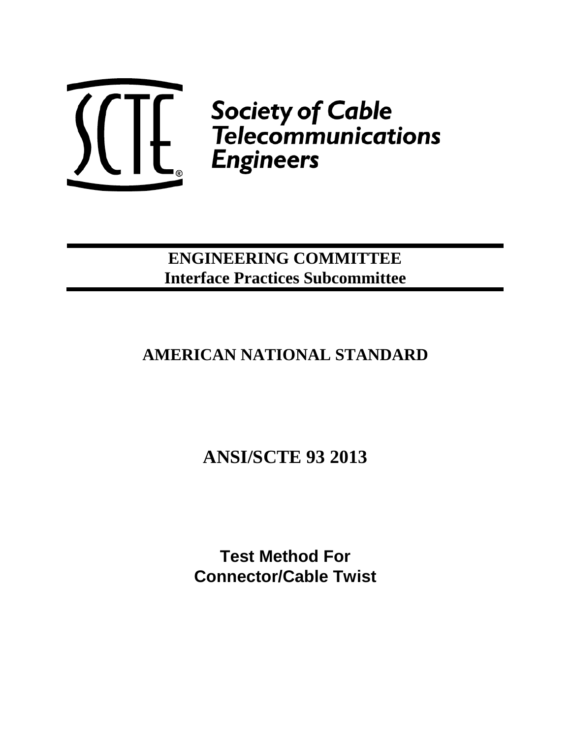

 $\left(\begin{matrix} 1 & 1 \ 1 & 1 \end{matrix}\right)$   $\left(\begin{matrix} 1 & 1 \ 1 & 1 \end{matrix}\right)$   $\left(\begin{matrix} 1 & 1 \ 1 & 1 \end{matrix}\right)$   $\left(\begin{matrix} 1 & 1 \ 1 & 1 \end{matrix}\right)$   $\left(\begin{matrix} 1 & 1 \ 1 & 1 \end{matrix}\right)$   $\left(\begin{matrix} 1 & 1 \ 1 & 1 \end{matrix}\right)$   $\left(\begin{matrix} 1 & 1 \ 1 & 1 \end{matrix}\right)$   $\left(\begin{matrix} 1 & 1 \ 1 & 1 \end{matrix}\right$ 

## **ENGINEERING COMMITTEE Interface Practices Subcommittee**

# **AMERICAN NATIONAL STANDARD**

# **ANSI/SCTE 93 2013**

**Test Method For Connector/Cable Twist**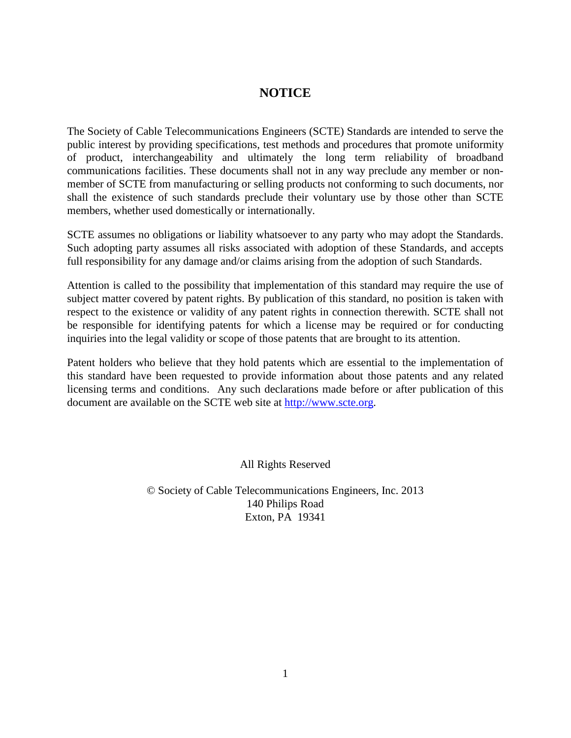#### **NOTICE**

The Society of Cable Telecommunications Engineers (SCTE) Standards are intended to serve the public interest by providing specifications, test methods and procedures that promote uniformity of product, interchangeability and ultimately the long term reliability of broadband communications facilities. These documents shall not in any way preclude any member or nonmember of SCTE from manufacturing or selling products not conforming to such documents, nor shall the existence of such standards preclude their voluntary use by those other than SCTE members, whether used domestically or internationally.

SCTE assumes no obligations or liability whatsoever to any party who may adopt the Standards. Such adopting party assumes all risks associated with adoption of these Standards, and accepts full responsibility for any damage and/or claims arising from the adoption of such Standards.

Attention is called to the possibility that implementation of this standard may require the use of subject matter covered by patent rights. By publication of this standard, no position is taken with respect to the existence or validity of any patent rights in connection therewith. SCTE shall not be responsible for identifying patents for which a license may be required or for conducting inquiries into the legal validity or scope of those patents that are brought to its attention.

Patent holders who believe that they hold patents which are essential to the implementation of this standard have been requested to provide information about those patents and any related licensing terms and conditions. Any such declarations made before or after publication of this document are available on the SCTE web site at [http://www.scte.org.](http://www.scte.org/)

All Rights Reserved

© Society of Cable Telecommunications Engineers, Inc. 2013 140 Philips Road Exton, PA 19341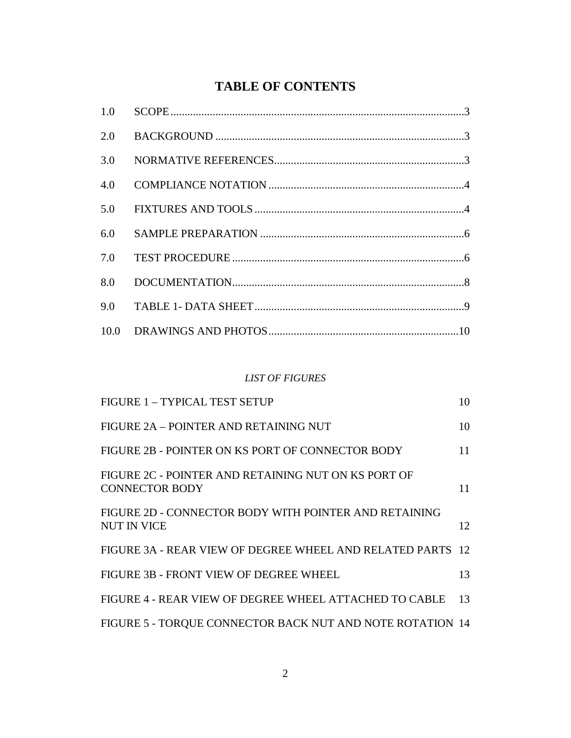## **TABLE OF CONTENTS**

| 2.0 |  |
|-----|--|
| 3.0 |  |
| 4.0 |  |
| 5.0 |  |
| 6.0 |  |
| 7.0 |  |
| 8.0 |  |
| 9.0 |  |
|     |  |

#### *LIST OF FIGURES*

| <b>FIGURE 1 - TYPICAL TEST SETUP</b>                                         | 10 |
|------------------------------------------------------------------------------|----|
| FIGURE 2A - POINTER AND RETAINING NUT                                        | 10 |
| FIGURE 2B - POINTER ON KS PORT OF CONNECTOR BODY                             | 11 |
| FIGURE 2C - POINTER AND RETAINING NUT ON KS PORT OF<br><b>CONNECTOR BODY</b> | 11 |
| FIGURE 2D - CONNECTOR BODY WITH POINTER AND RETAINING<br>NUT IN VICE         | 12 |
| FIGURE 3A - REAR VIEW OF DEGREE WHEEL AND RELATED PARTS 12                   |    |
| FIGURE 3B - FRONT VIEW OF DEGREE WHEEL                                       | 13 |
| FIGURE 4 - REAR VIEW OF DEGREE WHEEL ATTACHED TO CABLE                       | 13 |
| FIGURE 5 - TORQUE CONNECTOR BACK NUT AND NOTE ROTATION 14                    |    |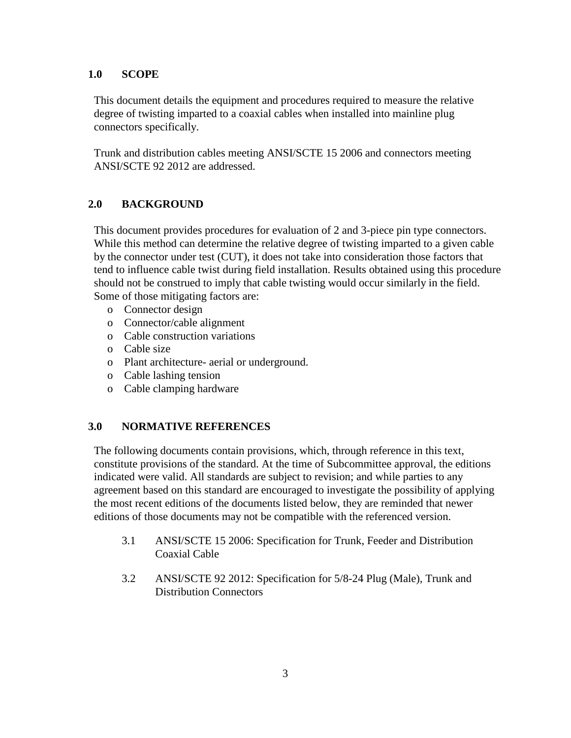#### **1.0 SCOPE**

This document details the equipment and procedures required to measure the relative degree of twisting imparted to a coaxial cables when installed into mainline plug connectors specifically.

Trunk and distribution cables meeting ANSI/SCTE 15 2006 and connectors meeting ANSI/SCTE 92 2012 are addressed.

#### **2.0 BACKGROUND**

This document provides procedures for evaluation of 2 and 3-piece pin type connectors. While this method can determine the relative degree of twisting imparted to a given cable by the connector under test (CUT), it does not take into consideration those factors that tend to influence cable twist during field installation. Results obtained using this procedure should not be construed to imply that cable twisting would occur similarly in the field. Some of those mitigating factors are:

- o Connector design
- o Connector/cable alignment
- o Cable construction variations
- o Cable size
- o Plant architecture- aerial or underground.
- o Cable lashing tension
- o Cable clamping hardware

#### **3.0 NORMATIVE REFERENCES**

The following documents contain provisions, which, through reference in this text, constitute provisions of the standard. At the time of Subcommittee approval, the editions indicated were valid. All standards are subject to revision; and while parties to any agreement based on this standard are encouraged to investigate the possibility of applying the most recent editions of the documents listed below, they are reminded that newer editions of those documents may not be compatible with the referenced version.

- 3.1 ANSI/SCTE 15 2006: Specification for Trunk, Feeder and Distribution Coaxial Cable
- 3.2 ANSI/SCTE 92 2012: Specification for 5/8-24 Plug (Male), Trunk and Distribution Connectors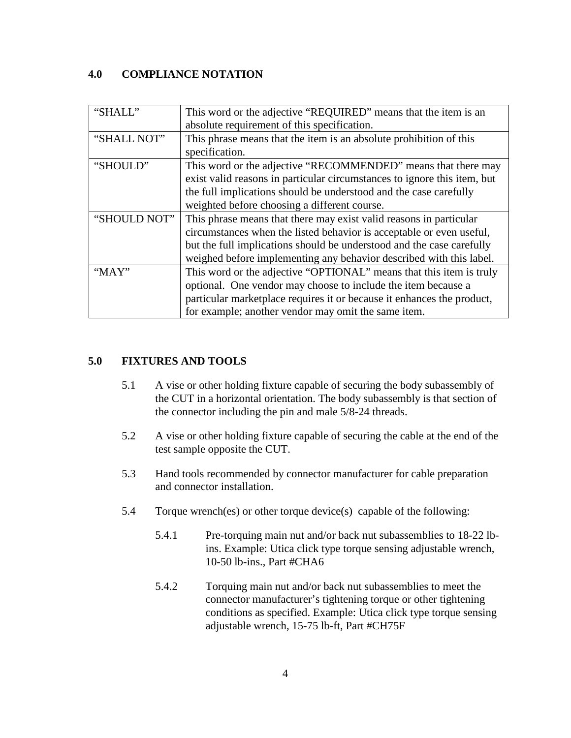#### **4.0 COMPLIANCE NOTATION**

| "SHALL"      | This word or the adjective "REQUIRED" means that the item is an          |
|--------------|--------------------------------------------------------------------------|
|              | absolute requirement of this specification.                              |
| "SHALL NOT"  | This phrase means that the item is an absolute prohibition of this       |
|              | specification.                                                           |
| "SHOULD"     | This word or the adjective "RECOMMENDED" means that there may            |
|              | exist valid reasons in particular circumstances to ignore this item, but |
|              | the full implications should be understood and the case carefully        |
|              | weighted before choosing a different course.                             |
| "SHOULD NOT" | This phrase means that there may exist valid reasons in particular       |
|              | circumstances when the listed behavior is acceptable or even useful,     |
|              | but the full implications should be understood and the case carefully    |
|              | weighed before implementing any behavior described with this label.      |
| "MAY"        | This word or the adjective "OPTIONAL" means that this item is truly      |
|              | optional. One vendor may choose to include the item because a            |
|              | particular marketplace requires it or because it enhances the product,   |
|              | for example; another vendor may omit the same item.                      |

#### **5.0 FIXTURES AND TOOLS**

- 5.1 A vise or other holding fixture capable of securing the body subassembly of the CUT in a horizontal orientation. The body subassembly is that section of the connector including the pin and male 5/8-24 threads.
- 5.2 A vise or other holding fixture capable of securing the cable at the end of the test sample opposite the CUT.
- 5.3 Hand tools recommended by connector manufacturer for cable preparation and connector installation.
- 5.4 Torque wrench(es) or other torque device(s) capable of the following:
	- 5.4.1 Pre-torquing main nut and/or back nut subassemblies to 18-22 lbins. Example: Utica click type torque sensing adjustable wrench, 10-50 lb-ins., Part #CHA6
	- 5.4.2 Torquing main nut and/or back nut subassemblies to meet the connector manufacturer's tightening torque or other tightening conditions as specified. Example: Utica click type torque sensing adjustable wrench, 15-75 lb-ft, Part #CH75F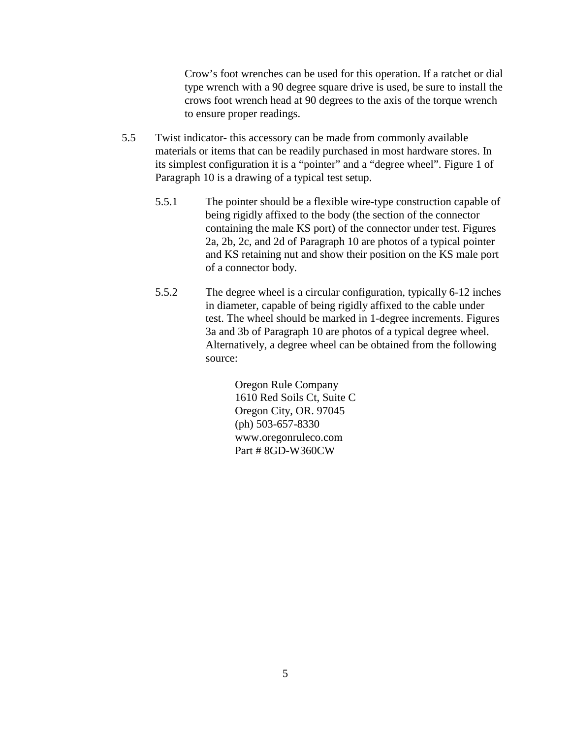Crow's foot wrenches can be used for this operation. If a ratchet or dial type wrench with a 90 degree square drive is used, be sure to install the crows foot wrench head at 90 degrees to the axis of the torque wrench to ensure proper readings.

- 5.5 Twist indicator- this accessory can be made from commonly available materials or items that can be readily purchased in most hardware stores. In its simplest configuration it is a "pointer" and a "degree wheel". Figure 1 of Paragraph 10 is a drawing of a typical test setup.
	- 5.5.1 The pointer should be a flexible wire-type construction capable of being rigidly affixed to the body (the section of the connector containing the male KS port) of the connector under test. Figures 2a, 2b, 2c, and 2d of Paragraph 10 are photos of a typical pointer and KS retaining nut and show their position on the KS male port of a connector body.
	- 5.5.2 The degree wheel is a circular configuration, typically 6-12 inches in diameter, capable of being rigidly affixed to the cable under test. The wheel should be marked in 1-degree increments. Figures 3a and 3b of Paragraph 10 are photos of a typical degree wheel. Alternatively, a degree wheel can be obtained from the following source:

Oregon Rule Company 1610 Red Soils Ct, Suite C Oregon City, OR. 97045 (ph) 503-657-8330 www.oregonruleco.com Part # 8GD-W360CW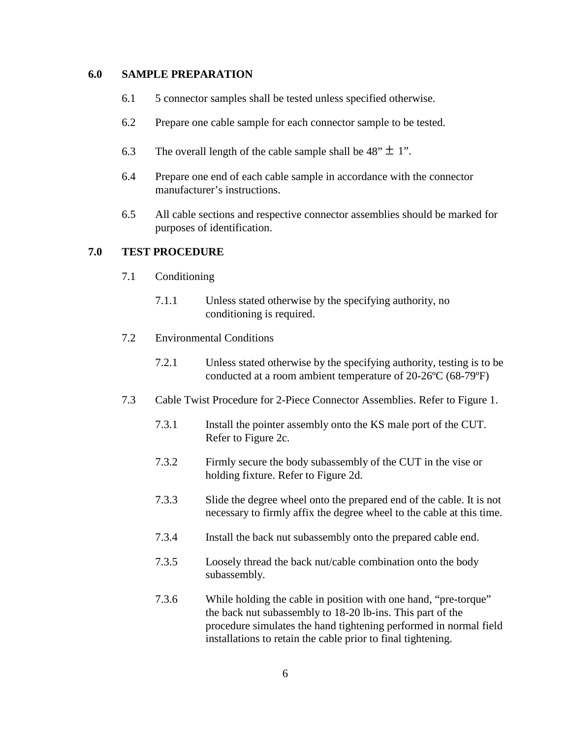#### **6.0 SAMPLE PREPARATION**

- 6.1 5 connector samples shall be tested unless specified otherwise.
- 6.2 Prepare one cable sample for each connector sample to be tested.
- 6.3 The overall length of the cable sample shall be  $48" \pm 1"$ .
- 6.4 Prepare one end of each cable sample in accordance with the connector manufacturer's instructions.
- 6.5 All cable sections and respective connector assemblies should be marked for purposes of identification.

#### **7.0 TEST PROCEDURE**

- 7.1 Conditioning
	- 7.1.1 Unless stated otherwise by the specifying authority, no conditioning is required.
- 7.2 Environmental Conditions
	- 7.2.1 Unless stated otherwise by the specifying authority, testing is to be conducted at a room ambient temperature of 20-26ºC (68-79ºF)
- 7.3 Cable Twist Procedure for 2-Piece Connector Assemblies. Refer to Figure 1.
	- 7.3.1 Install the pointer assembly onto the KS male port of the CUT. Refer to Figure 2c.
	- 7.3.2 Firmly secure the body subassembly of the CUT in the vise or holding fixture. Refer to Figure 2d.
	- 7.3.3 Slide the degree wheel onto the prepared end of the cable. It is not necessary to firmly affix the degree wheel to the cable at this time.
	- 7.3.4 Install the back nut subassembly onto the prepared cable end.
	- 7.3.5 Loosely thread the back nut/cable combination onto the body subassembly.
	- 7.3.6 While holding the cable in position with one hand, "pre-torque" the back nut subassembly to 18-20 lb-ins. This part of the procedure simulates the hand tightening performed in normal field installations to retain the cable prior to final tightening.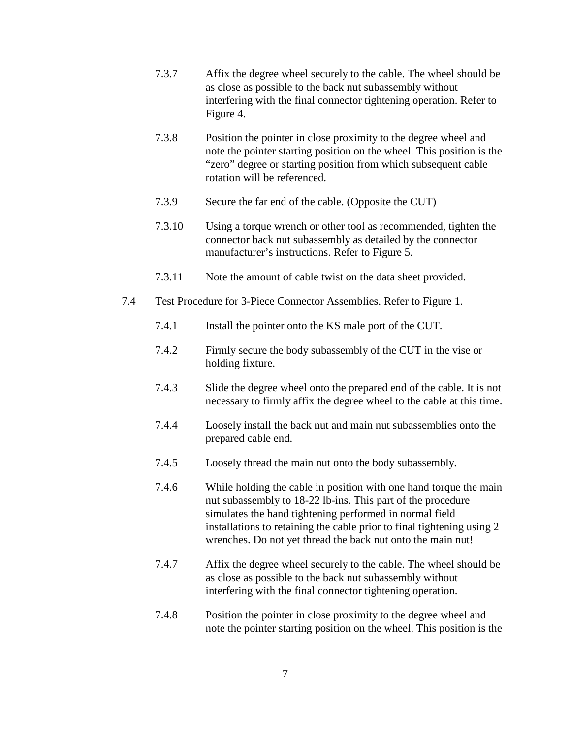- 7.3.7 Affix the degree wheel securely to the cable. The wheel should be as close as possible to the back nut subassembly without interfering with the final connector tightening operation. Refer to Figure 4.
- 7.3.8 Position the pointer in close proximity to the degree wheel and note the pointer starting position on the wheel. This position is the "zero" degree or starting position from which subsequent cable rotation will be referenced.
- 7.3.9 Secure the far end of the cable. (Opposite the CUT)
- 7.3.10 Using a torque wrench or other tool as recommended, tighten the connector back nut subassembly as detailed by the connector manufacturer's instructions. Refer to Figure 5.
- 7.3.11 Note the amount of cable twist on the data sheet provided.
- 7.4 Test Procedure for 3-Piece Connector Assemblies. Refer to Figure 1.
	- 7.4.1 Install the pointer onto the KS male port of the CUT.
	- 7.4.2 Firmly secure the body subassembly of the CUT in the vise or holding fixture.
	- 7.4.3 Slide the degree wheel onto the prepared end of the cable. It is not necessary to firmly affix the degree wheel to the cable at this time.
	- 7.4.4 Loosely install the back nut and main nut subassemblies onto the prepared cable end.
	- 7.4.5 Loosely thread the main nut onto the body subassembly.
	- 7.4.6 While holding the cable in position with one hand torque the main nut subassembly to 18-22 lb-ins. This part of the procedure simulates the hand tightening performed in normal field installations to retaining the cable prior to final tightening using 2 wrenches. Do not yet thread the back nut onto the main nut!
	- 7.4.7 Affix the degree wheel securely to the cable. The wheel should be as close as possible to the back nut subassembly without interfering with the final connector tightening operation.
	- 7.4.8 Position the pointer in close proximity to the degree wheel and note the pointer starting position on the wheel. This position is the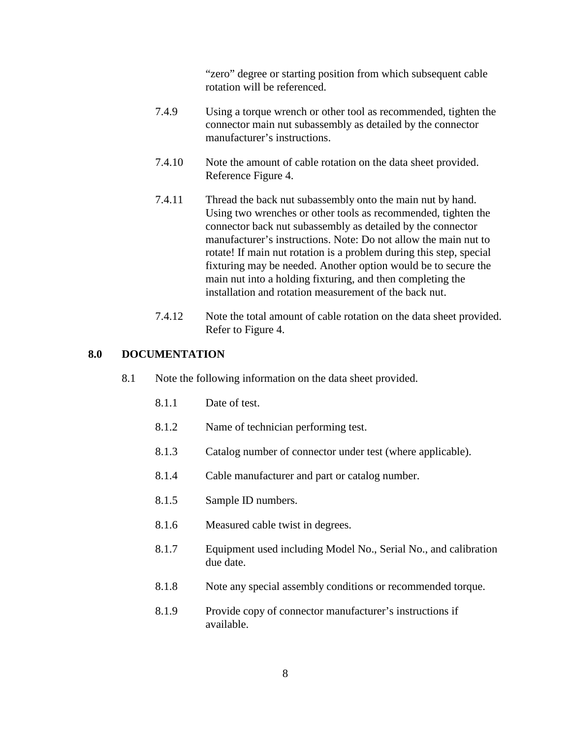"zero" degree or starting position from which subsequent cable rotation will be referenced.

- 7.4.9 Using a torque wrench or other tool as recommended, tighten the connector main nut subassembly as detailed by the connector manufacturer's instructions.
- 7.4.10 Note the amount of cable rotation on the data sheet provided. Reference Figure 4.
- 7.4.11 Thread the back nut subassembly onto the main nut by hand. Using two wrenches or other tools as recommended, tighten the connector back nut subassembly as detailed by the connector manufacturer's instructions. Note: Do not allow the main nut to rotate! If main nut rotation is a problem during this step, special fixturing may be needed. Another option would be to secure the main nut into a holding fixturing, and then completing the installation and rotation measurement of the back nut.
- 7.4.12 Note the total amount of cable rotation on the data sheet provided. Refer to Figure 4.

#### **8.0 DOCUMENTATION**

- 8.1 Note the following information on the data sheet provided.
	- 8.1.1 Date of test.
	- 8.1.2 Name of technician performing test.
	- 8.1.3 Catalog number of connector under test (where applicable).
	- 8.1.4 Cable manufacturer and part or catalog number.
	- 8.1.5 Sample ID numbers.
	- 8.1.6 Measured cable twist in degrees.
	- 8.1.7 Equipment used including Model No., Serial No., and calibration due date.
	- 8.1.8 Note any special assembly conditions or recommended torque.
	- 8.1.9 Provide copy of connector manufacturer's instructions if available.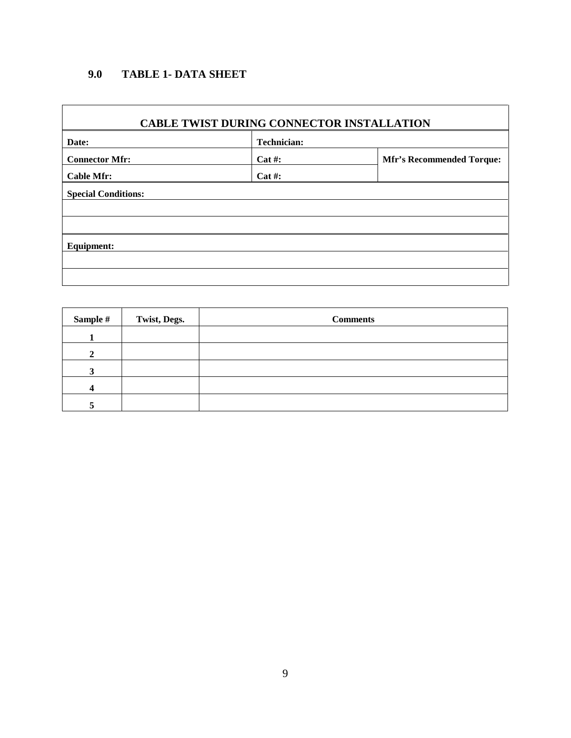### **9.0 TABLE 1- DATA SHEET**

#### **CABLE TWIST DURING CONNECTOR INSTALLATION**

| Date:                      | <b>Technician:</b> |                                  |  |  |
|----------------------------|--------------------|----------------------------------|--|--|
| <b>Connector Mfr:</b>      | $Cat$ #:           | <b>Mfr's Recommended Torque:</b> |  |  |
| <b>Cable Mfr:</b>          | $Cat$ #:           |                                  |  |  |
| <b>Special Conditions:</b> |                    |                                  |  |  |
|                            |                    |                                  |  |  |
|                            |                    |                                  |  |  |
| <b>Equipment:</b>          |                    |                                  |  |  |
|                            |                    |                                  |  |  |
|                            |                    |                                  |  |  |

| Sample # | Twist, Degs. | <b>Comments</b> |
|----------|--------------|-----------------|
|          |              |                 |
|          |              |                 |
|          |              |                 |
|          |              |                 |
|          |              |                 |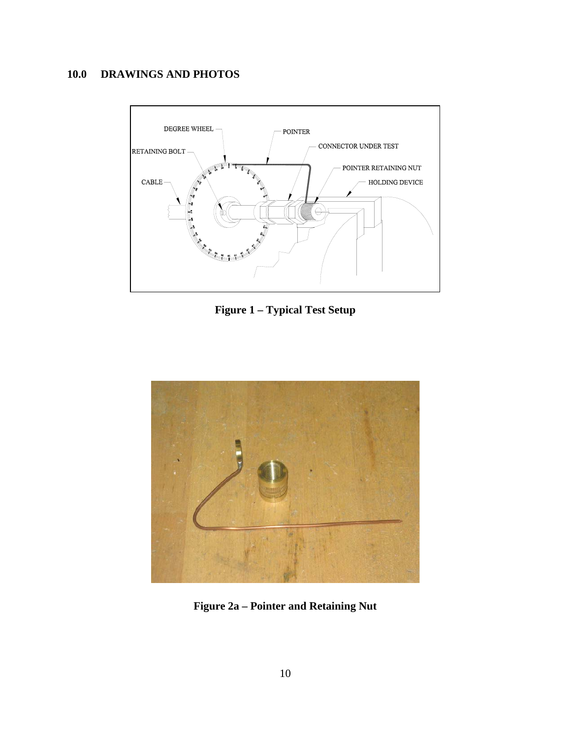## **10.0 DRAWINGS AND PHOTOS**



**Figure 1 – Typical Test Setup**

<span id="page-10-1"></span><span id="page-10-0"></span>

**Figure 2a – Pointer and Retaining Nut**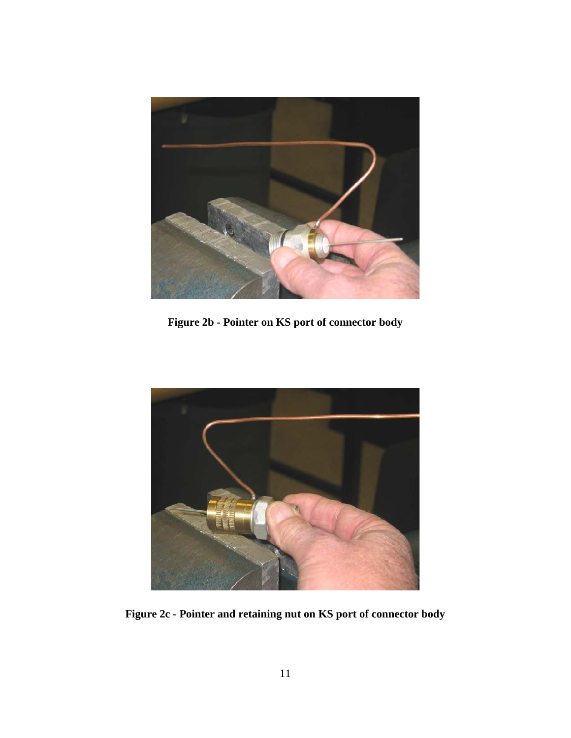

**Figure 2b - Pointer on KS port of connector body**

<span id="page-11-1"></span><span id="page-11-0"></span>

**Figure 2c - Pointer and retaining nut on KS port of connector body**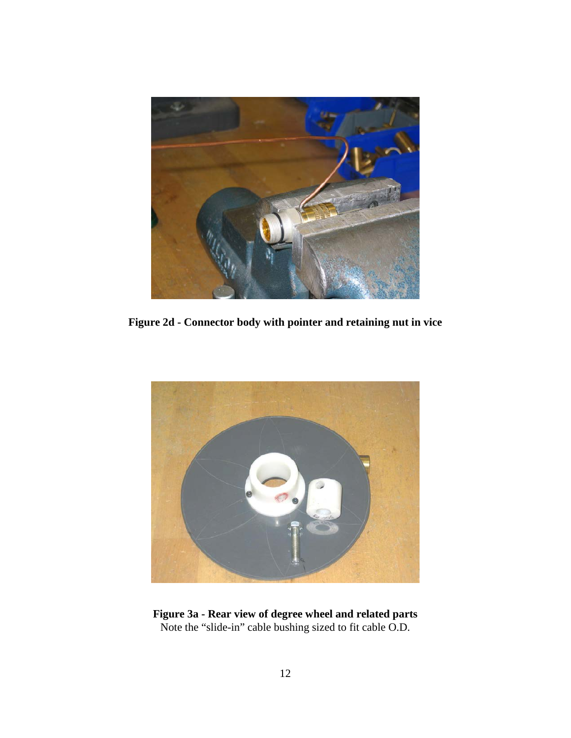

**Figure 2d - Connector body with pointer and retaining nut in vice**

<span id="page-12-1"></span><span id="page-12-0"></span>

**Figure 3a - Rear view of degree wheel and related parts** Note the "slide-in" cable bushing sized to fit cable O.D.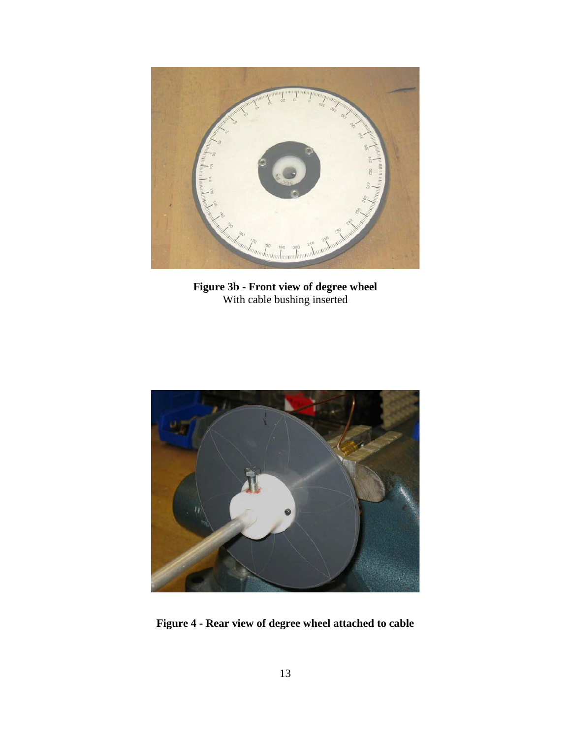

**Figure 3b - Front view of degree wheel** With cable bushing inserted

<span id="page-13-1"></span><span id="page-13-0"></span>

**Figure 4 - Rear view of degree wheel attached to cable**